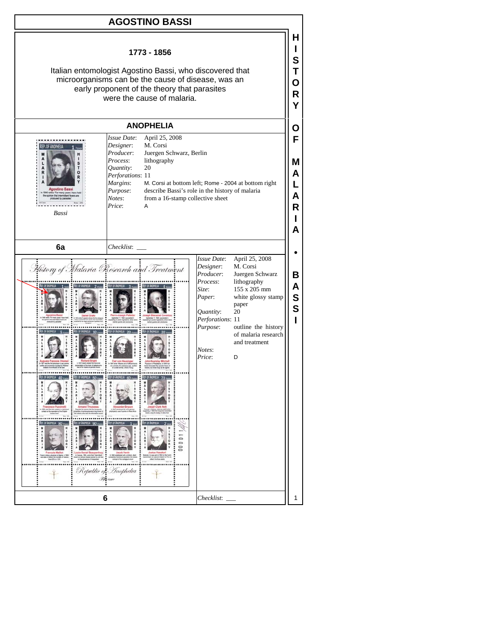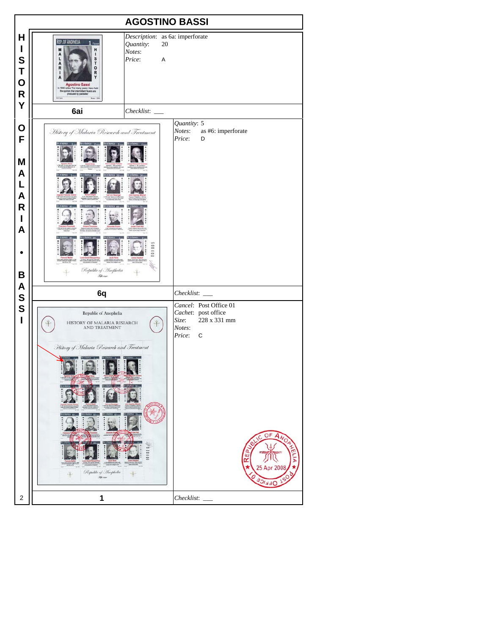| <b>AGOSTINO BASSI</b>                             |                                                                                                                                                                                            |                                          |                                                                                                                           |
|---------------------------------------------------|--------------------------------------------------------------------------------------------------------------------------------------------------------------------------------------------|------------------------------------------|---------------------------------------------------------------------------------------------------------------------------|
| H<br>I<br>S<br>T<br>$\mathbf O$<br>${\sf R}$<br>Υ | REP. OF ANOPHELIA<br><b>FEVER</b><br>H<br>1<br>S<br>ι<br>T<br>o<br>R<br>R<br><b>Agostino Bassi</b><br>es "For many years I have he<br>non that intermittent feve<br>produced by parasites" | Quantity:<br>20<br>Notes:<br>Price:<br>A | Description: as 6a: imperforate                                                                                           |
|                                                   | 6ai                                                                                                                                                                                        |                                          | Quantity: 5                                                                                                               |
| O<br>F<br>M<br>A<br>L<br>A<br>R<br>I<br>A         | History of Malaria Research and Treatment                                                                                                                                                  |                                          | Notes:<br>as #6: imperforate<br>Price:<br>D                                                                               |
| B<br>A                                            | Republic of Anophelia<br><b>Fell</b> river                                                                                                                                                 |                                          |                                                                                                                           |
| S                                                 | 6q                                                                                                                                                                                         |                                          | Checklist:<br>Cancel: Post Office 01                                                                                      |
| S<br>$\mathbf{I}$                                 | Republic of Anophelia<br>HISTORY OF MALARIA RESEARCH<br>AND TREATMENT<br>History of Malaria Research and Treatment<br>Republic of Anophelia<br><b>River</b>                                |                                          | Cachet: post office<br>228 x 331 mm<br>Size:<br>Notes:<br>Price:<br>$\mathbf C$<br>OF<br>A<br>REP.<br>25 Apr 200<br>JFF'' |
| 2                                                 | 1                                                                                                                                                                                          |                                          | <i>Checklist</i> :                                                                                                        |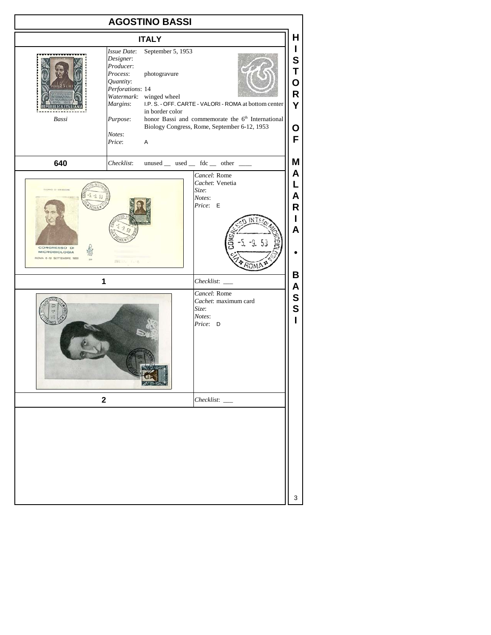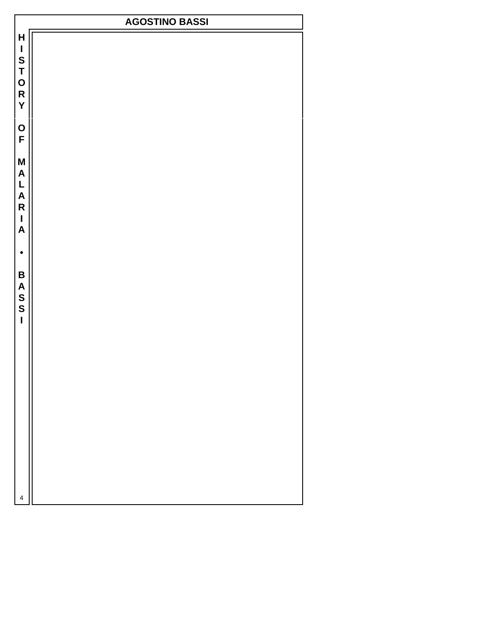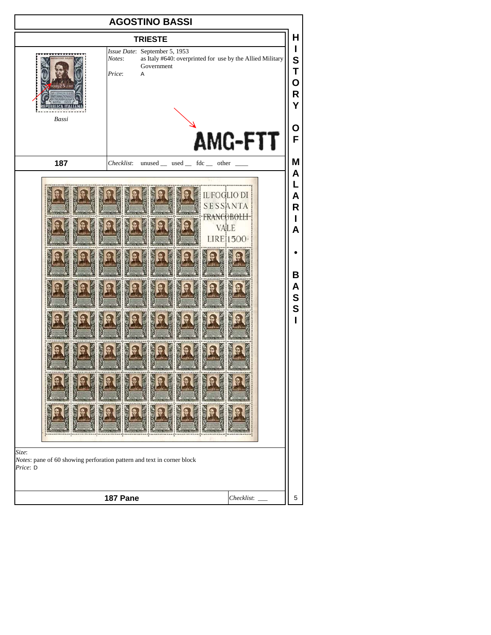